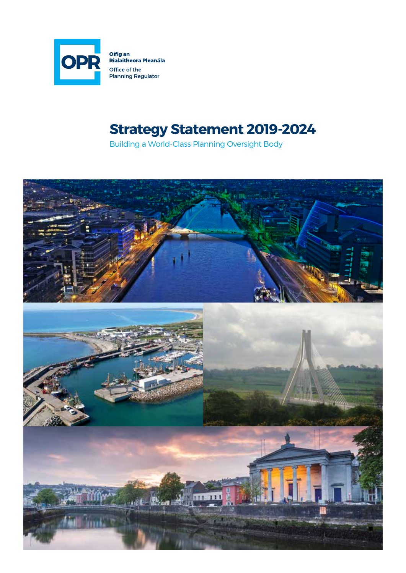

Oifig an<br>Rialaitheora Pleanála Office of the<br>Planning Regulator

### **Strategy Statement 2019-2024**

Building a World-Class Planning Oversight Body

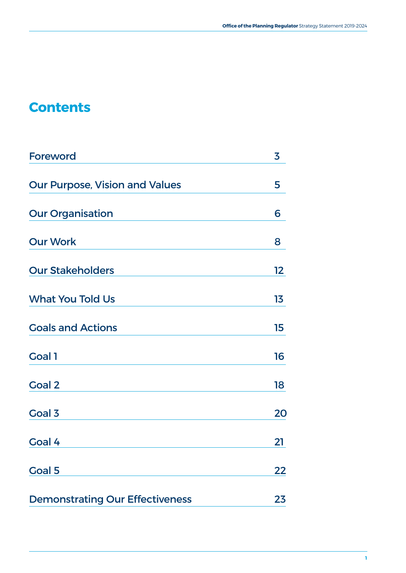### **Contents**

| <b>Foreword</b>                        | 3  |
|----------------------------------------|----|
| <b>Our Purpose, Vision and Values</b>  | 5  |
| <b>Our Organisation</b>                | 6  |
| <b>Our Work</b>                        | 8  |
| <b>Our Stakeholders</b>                | 12 |
| <b>What You Told Us</b>                | 13 |
| <b>Goals and Actions</b>               | 15 |
| <b>Goal 1</b>                          | 16 |
| <b>Goal 2</b>                          | 18 |
| <b>Goal 3</b>                          | 20 |
| <b>Goal 4</b>                          | 21 |
| <b>Goal 5</b>                          | 22 |
| <b>Demonstrating Our Effectiveness</b> | 23 |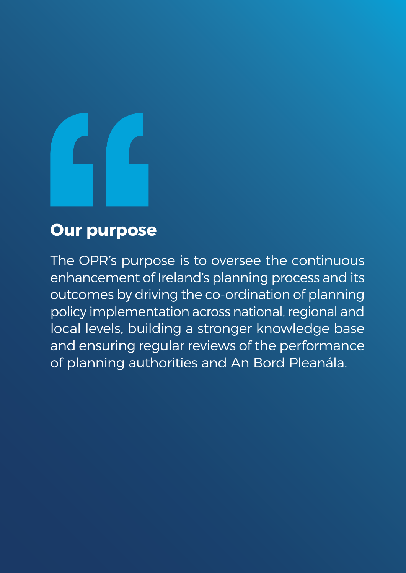

## **Our purpose**

The OPR's purpose is to oversee the continuous enhancement of Ireland's planning process and its outcomes by driving the co-ordination of planning policy implementation across national, regional and local levels, building a stronger knowledge base and ensuring regular reviews of the performance of planning authorities and An Bord Pleanála.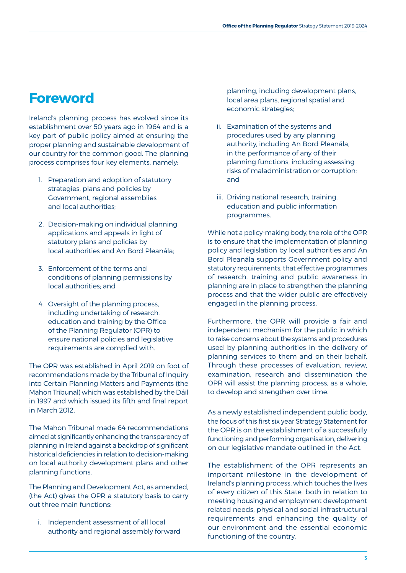#### **Foreword**

Ireland's planning process has evolved since its establishment over 50 years ago in 1964 and is a key part of public policy aimed at ensuring the proper planning and sustainable development of our country for the common good. The planning process comprises four key elements, namely:

- 1. Preparation and adoption of statutory strategies, plans and policies by Government, regional assemblies and local authorities;
- 2. Decision-making on individual planning applications and appeals in light of statutory plans and policies by local authorities and An Bord Pleanála;
- 3. Enforcement of the terms and conditions of planning permissions by local authorities; and
- 4. Oversight of the planning process, including undertaking of research, education and training by the Office of the Planning Regulator (OPR) to ensure national policies and legislative requirements are complied with.

The OPR was established in April 2019 on foot of recommendations made by the Tribunal of Inquiry into Certain Planning Matters and Payments (the Mahon Tribunal) which was established by the Dáil in 1997 and which issued its fifth and final report in March 2012.

The Mahon Tribunal made 64 recommendations aimed at significantly enhancing the transparency of planning in Ireland against a backdrop of significant historical deficiencies in relation to decision-making on local authority development plans and other planning functions.

The Planning and Development Act, as amended, (the Act) gives the OPR a statutory basis to carry out three main functions:

i. Independent assessment of all local authority and regional assembly forward

planning, including development plans, local area plans, regional spatial and economic strategies;

- ii. Examination of the systems and procedures used by any planning authority, including An Bord Pleanála, in the performance of any of their planning functions, including assessing risks of maladministration or corruption; and
- iii. Driving national research, training, education and public information programmes.

While not a policy-making body, the role of the OPR is to ensure that the implementation of planning policy and legislation by local authorities and An Bord Pleanála supports Government policy and statutory requirements, that effective programmes of research, training and public awareness in planning are in place to strengthen the planning process and that the wider public are effectively engaged in the planning process.

Furthermore, the OPR will provide a fair and independent mechanism for the public in which to raise concerns about the systems and procedures used by planning authorities in the delivery of planning services to them and on their behalf. Through these processes of evaluation, review, examination, research and dissemination the OPR will assist the planning process, as a whole, to develop and strengthen over time.

As a newly established independent public body, the focus of this first six year Strategy Statement for the OPR is on the establishment of a successfully functioning and performing organisation, delivering on our legislative mandate outlined in the Act.

The establishment of the OPR represents an important milestone in the development of Ireland's planning process, which touches the lives of every citizen of this State, both in relation to meeting housing and employment development related needs, physical and social infrastructural requirements and enhancing the quality of our environment and the essential economic functioning of the country.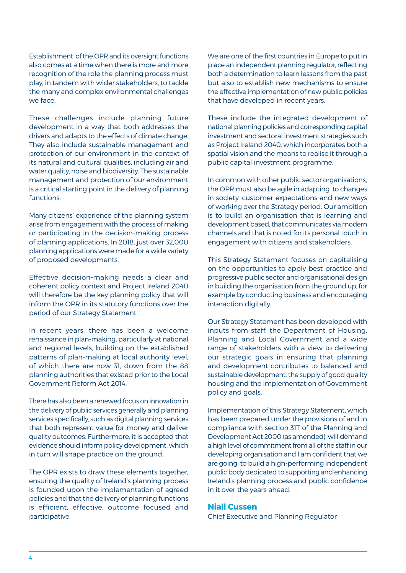Establishment of the OPR and its oversight functions also comes at a time when there is more and more recognition of the role the planning process must play, in tandem with wider stakeholders, to tackle the many and complex environmental challenges we face.

These challenges include planning future development in a way that both addresses the drivers and adapts to the effects of climate change. They also include sustainable management and protection of our environment in the context of its natural and cultural qualities, including air and water quality, noise and biodiversity. The sustainable management and protection of our environment is a critical starting point in the delivery of planning functions.

Many citizens' experience of the planning system arise from engagement with the process of making or participating in the decision-making process of planning applications. In 2018, just over 32,000 planning applications were made for a wide variety of proposed developments.

Effective decision-making needs a clear and coherent policy context and Project Ireland 2040 will therefore be the key planning policy that will inform the OPR in its statutory functions over the period of our Strategy Statement .

In recent years, there has been a welcome renaissance in plan-making, particularly at national and regional levels, building on the established patterns of plan-making at local authority level, of which there are now 31, down from the 88 planning authorities that existed prior to the Local Government Reform Act 2014.

There has also been a renewed focus on innovation in the delivery of public services generally and planning services specifically, such as digital planning services that both represent value for money and deliver quality outcomes. Furthermore, it is accepted that evidence should inform policy development, which in turn will shape practice on the ground.

The OPR exists to draw these elements together, ensuring the quality of Ireland's planning process is founded upon the implementation of agreed policies and that the delivery of planning functions is efficient, effective, outcome focused and participative.

We are one of the first countries in Europe to put in place an independent planning regulator, reflecting both a determination to learn lessons from the past but also to establish new mechanisms to ensure the effective implementation of new public policies that have developed in recent years.

These include the integrated development of national planning policies and corresponding capital investment and sectoral investment strategies such as Project Ireland 2040, which incorporates both a spatial vision and the means to realise it through a public capital investment programme.

In common with other public sector organisations, the OPR must also be agile in adapting to changes in society, customer expectations and new ways of working over the Strategy period. Our ambition is to build an organisation that is learning and development based, that communicates via modern channels and that is noted for its personal touch in engagement with citizens and stakeholders.

This Strategy Statement focuses on capitalising on the opportunities to apply best practice and progressive public sector and organisational design in building the organisation from the ground up, for example by conducting business and encouraging interaction digitally.

Our Strategy Statement has been developed with inputs from staff, the Department of Housing, Planning and Local Government and a wide range of stakeholders with a view to delivering our strategic goals in ensuring that planning and development contributes to balanced and sustainable development, the supply of good quality housing and the implementation of Government policy and goals.

Implementation of this Strategy Statement, which has been prepared under the provisions of and in compliance with section 31T of the Planning and Development Act 2000 (as amended), will demand a high level of commitment from all of the staff in our developing organisation and I am confident that we are going to build a high-performing independent public body dedicated to supporting and enhancing Ireland's planning process and public confidence in it over the years ahead.

#### **Niall Cussen**

Chief Executive and Planning Regulator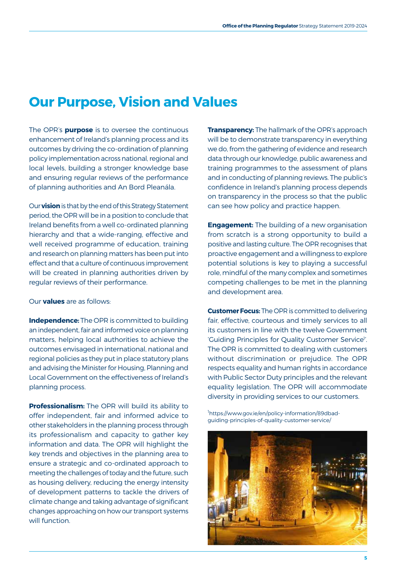#### **Our Purpose, Vision and Values**

The OPR's **purpose** is to oversee the continuous enhancement of Ireland's planning process and its outcomes by driving the co-ordination of planning policy implementation across national, regional and local levels, building a stronger knowledge base and ensuring regular reviews of the performance of planning authorities and An Bord Pleanála.

Our **vision** is that by the end of this Strategy Statement period, the OPR will be in a position to conclude that Ireland benefits from a well co-ordinated planning hierarchy and that a wide-ranging, effective and well received programme of education, training and research on planning matters has been put into effect and that a culture of continuous improvement will be created in planning authorities driven by regular reviews of their performance.

Our **values** are as follows:

**Independence:** The OPR is committed to building an independent, fair and informed voice on planning matters, helping local authorities to achieve the outcomes envisaged in international, national and regional policies as they put in place statutory plans and advising the Minister for Housing, Planning and Local Government on the effectiveness of Ireland's planning process.

**Professionalism:** The OPR will build its ability to offer independent, fair and informed advice to other stakeholders in the planning process through its professionalism and capacity to gather key information and data. The OPR will highlight the key trends and objectives in the planning area to ensure a strategic and co-ordinated approach to meeting the challenges of today and the future, such as housing delivery, reducing the energy intensity of development patterns to tackle the drivers of climate change and taking advantage of significant changes approaching on how our transport systems will function.

**Transparency:** The hallmark of the OPR's approach will be to demonstrate transparency in everything we do, from the gathering of evidence and research data through our knowledge, public awareness and training programmes to the assessment of plans and in conducting of planning reviews. The public's confidence in Ireland's planning process depends on transparency in the process so that the public can see how policy and practice happen.

**Engagement:** The building of a new organisation from scratch is a strong opportunity to build a positive and lasting culture. The OPR recognises that proactive engagement and a willingness to explore potential solutions is key to playing a successful role, mindful of the many complex and sometimes competing challenges to be met in the planning and development area.

**Customer Focus:** The OPR is committed to delivering fair, effective, courteous and timely services to all its customers in line with the twelve Government 'Guiding Principles for Quality Customer Service''. The OPR is committed to dealing with customers without discrimination or prejudice. The OPR respects equality and human rights in accordance with Public Sector Duty principles and the relevant equality legislation. The OPR will accommodate diversity in providing services to our customers.

<sup>1</sup>https://www.gov.ie/en/policy-information/89dbadguiding-principles-of-quality-customer-service/

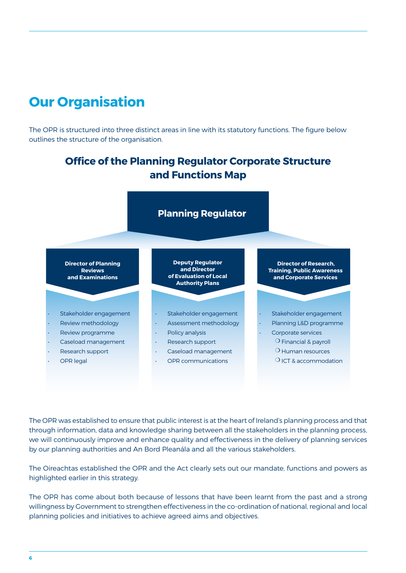### **Our Organisation**

The OPR is structured into three distinct areas in line with its statutory functions. The figure below outlines the structure of the organisation.



by our planning authorities and An Bord Pleanála and all the various stakeholders. **Director of Planning**  through information, data and knowledge sharing between all the stakeholders in the planning process,<br>. **and Public Awareness** we will continuously improve and enhance quality and effectiveness in the delivery of planning services The OPR was established to ensure that public interest is at the heart of Ireland's planning process and that

**and Public Awareness** The Oireachtas established the OPR and the Act clearly sets out our mandate, functions and powers as highlighted earlier in this strategy.

The OPR has come about both because of lessons that have been learnt from the past and a strong willingness by Government to strengthen effectiveness in the co-ordination of national, regional and local planning policies and initiatives to achieve agreed aims and objectives.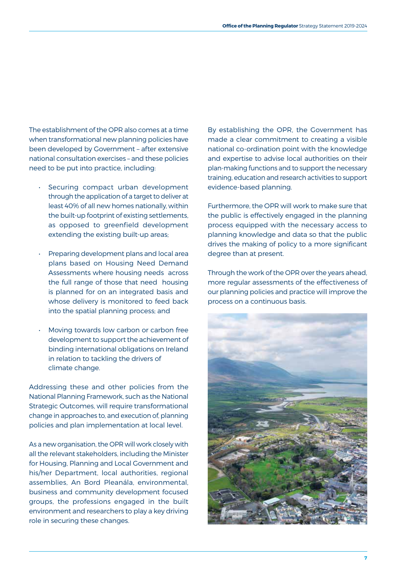The establishment of the OPR also comes at a time when transformational new planning policies have been developed by Government – after extensive national consultation exercises – and these policies need to be put into practice, including:

- Securing compact urban development through the application of a target to deliver at least 40% of all new homes nationally, within the built-up footprint of existing settlements, as opposed to greenfield development extending the existing built-up areas;
- Preparing development plans and local area plans based on Housing Need Demand Assessments where housing needs across the full range of those that need housing is planned for on an integrated basis and whose delivery is monitored to feed back into the spatial planning process; and
- Moving towards low carbon or carbon free development to support the achievement of binding international obligations on Ireland in relation to tackling the drivers of climate change.

Addressing these and other policies from the National Planning Framework, such as the National Strategic Outcomes, will require transformational change in approaches to, and execution of, planning policies and plan implementation at local level.

As a new organisation, the OPR will work closely with all the relevant stakeholders, including the Minister for Housing, Planning and Local Government and his/her Department, local authorities, regional assemblies, An Bord Pleanála, environmental, business and community development focused groups, the professions engaged in the built environment and researchers to play a key driving role in securing these changes.

By establishing the OPR, the Government has made a clear commitment to creating a visible national co-ordination point with the knowledge and expertise to advise local authorities on their plan-making functions and to support the necessary training, education and research activities to support evidence-based planning.

Furthermore, the OPR will work to make sure that the public is effectively engaged in the planning process equipped with the necessary access to planning knowledge and data so that the public drives the making of policy to a more significant degree than at present.

Through the work of the OPR over the years ahead, more regular assessments of the effectiveness of our planning policies and practice will improve the process on a continuous basis.

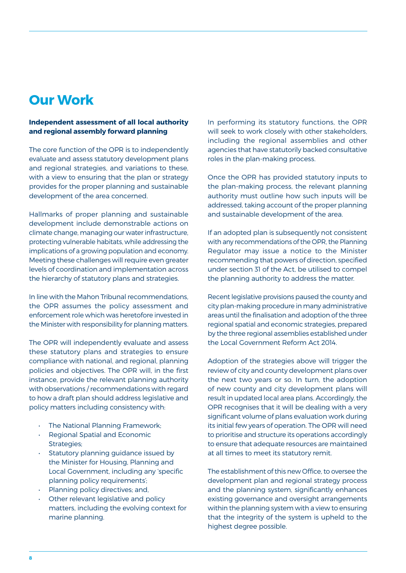#### **Our Work**

#### **Independent assessment of all local authority and regional assembly forward planning**

The core function of the OPR is to independently evaluate and assess statutory development plans and regional strategies, and variations to these, with a view to ensuring that the plan or strategy provides for the proper planning and sustainable development of the area concerned.

Hallmarks of proper planning and sustainable development include demonstrable actions on climate change, managing our water infrastructure, protecting vulnerable habitats, while addressing the implications of a growing population and economy. Meeting these challenges will require even greater levels of coordination and implementation across the hierarchy of statutory plans and strategies.

In line with the Mahon Tribunal recommendations, the OPR assumes the policy assessment and enforcement role which was heretofore invested in the Minister with responsibility for planning matters.

The OPR will independently evaluate and assess these statutory plans and strategies to ensure compliance with national, and regional, planning policies and objectives. The OPR will, in the first instance, provide the relevant planning authority with observations / recommendations with regard to how a draft plan should address legislative and policy matters including consistency with:

- The National Planning Framework;
- Regional Spatial and Economic Strategies;
- Statutory planning guidance issued by the Minister for Housing, Planning and Local Government, including any 'specific planning policy requirements';
- Planning policy directives; and,
- Other relevant legislative and policy matters, including the evolving context for marine planning.

In performing its statutory functions, the OPR will seek to work closely with other stakeholders, including the regional assemblies and other agencies that have statutorily backed consultative roles in the plan-making process.

Once the OPR has provided statutory inputs to the plan-making process, the relevant planning authority must outline how such inputs will be addressed, taking account of the proper planning and sustainable development of the area.

If an adopted plan is subsequently not consistent with any recommendations of the OPR, the Planning Regulator may issue a notice to the Minister recommending that powers of direction, specified under section 31 of the Act, be utilised to compel the planning authority to address the matter.

Recent legislative provisions paused the county and city plan-making procedure in many administrative areas until the finalisation and adoption of the three regional spatial and economic strategies, prepared by the three regional assemblies established under the Local Government Reform Act 2014.

Adoption of the strategies above will trigger the review of city and county development plans over the next two years or so. In turn, the adoption of new county and city development plans will result in updated local area plans. Accordingly, the OPR recognises that it will be dealing with a very significant volume of plans evaluation work during its initial few years of operation. The OPR will need to prioritise and structure its operations accordingly to ensure that adequate resources are maintained at all times to meet its statutory remit.

The establishment of this new Office, to oversee the development plan and regional strategy process and the planning system, significantly enhances existing governance and oversight arrangements within the planning system with a view to ensuring that the integrity of the system is upheld to the highest degree possible.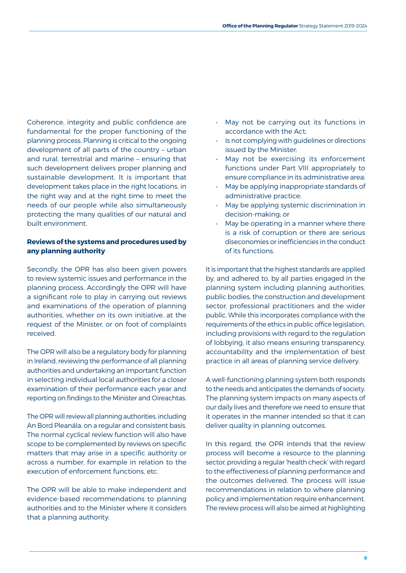Coherence, integrity and public confidence are fundamental for the proper functioning of the planning process. Planning is critical to the ongoing development of all parts of the country – urban and rural, terrestrial and marine – ensuring that such development delivers proper planning and sustainable development. It is important that development takes place in the right locations, in the right way and at the right time to meet the needs of our people while also simultaneously protecting the many qualities of our natural and built environment.

#### **Reviews of the systems and procedures used by any planning authority**

Secondly, the OPR has also been given powers to review systemic issues and performance in the planning process. Accordingly the OPR will have a significant role to play in carrying out reviews and examinations of the operation of planning authorities, whether on its own initiative, at the request of the Minister, or on foot of complaints received.

The OPR will also be a regulatory body for planning in Ireland, reviewing the performance of all planning authorities and undertaking an important function in selecting individual local authorities for a closer examination of their performance each year and reporting on findings to the Minister and Oireachtas.

The OPR will review all planning authorities, including An Bord Pleanála, on a regular and consistent basis. The normal cyclical review function will also have scope to be complemented by reviews on specific matters that may arise in a specific authority or across a number, for example in relation to the execution of enforcement functions, etc.

The OPR will be able to make independent and evidence-based recommendations to planning authorities and to the Minister where it considers that a planning authority:

- May not be carrying out its functions in accordance with the Act;
- Is not complying with guidelines or directions issued by the Minister;
- May not be exercising its enforcement functions under Part VIII appropriately to ensure compliance in its administrative area;
- May be applying inappropriate standards of administrative practice;
- May be applying systemic discrimination in decision-making; or
- May be operating in a manner where there is a risk of corruption or there are serious diseconomies or inefficiencies in the conduct of its functions.

It is important that the highest standards are applied by, and adhered to, by all parties engaged in the planning system including planning authorities, public bodies, the construction and development sector, professional practitioners and the wider public. While this incorporates compliance with the requirements of the ethics in public office legislation, including provisions with regard to the regulation of lobbying, it also means ensuring transparency, accountability and the implementation of best practice in all areas of planning service delivery.

A well-functioning planning system both responds to the needs and anticipates the demands of society. The planning system impacts on many aspects of our daily lives and therefore we need to ensure that it operates in the manner intended so that it can deliver quality in planning outcomes.

In this regard, the OPR intends that the review process will become a resource to the planning sector, providing a regular 'health check' with regard to the effectiveness of planning performance and the outcomes delivered. The process will issue recommendations in relation to where planning policy and implementation require enhancement. The review process will also be aimed at highlighting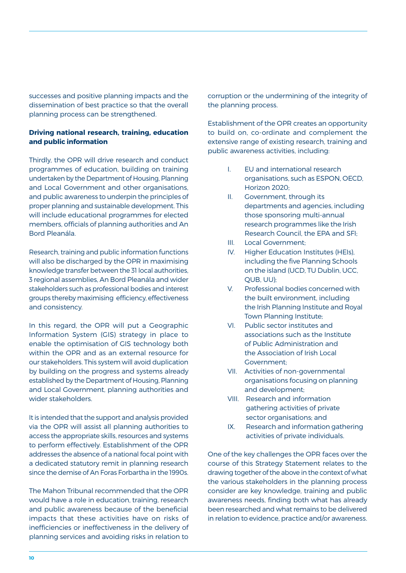successes and positive planning impacts and the dissemination of best practice so that the overall planning process can be strengthened.

#### **Driving national research, training, education and public information**

Thirdly, the OPR will drive research and conduct programmes of education, building on training undertaken by the Department of Housing, Planning and Local Government and other organisations, and public awareness to underpin the principles of proper planning and sustainable development. This will include educational programmes for elected members, officials of planning authorities and An Bord Pleanála.

Research, training and public information functions will also be discharged by the OPR in maximising knowledge transfer between the 31 local authorities, 3 regional assemblies, An Bord Pleanála and wider stakeholders such as professional bodies and interest groups thereby maximising efficiency, effectiveness and consistency.

In this regard, the OPR will put a Geographic Information System (GIS) strategy in place to enable the optimisation of GIS technology both within the OPR and as an external resource for our stakeholders. This system will avoid duplication by building on the progress and systems already established by the Department of Housing, Planning and Local Government, planning authorities and wider stakeholders.

It is intended that the support and analysis provided via the OPR will assist all planning authorities to access the appropriate skills, resources and systems to perform effectively. Establishment of the OPR addresses the absence of a national focal point with a dedicated statutory remit in planning research since the demise of An Foras Forbartha in the 1990s.

The Mahon Tribunal recommended that the OPR would have a role in education, training, research and public awareness because of the beneficial impacts that these activities have on risks of inefficiencies or ineffectiveness in the delivery of planning services and avoiding risks in relation to

corruption or the undermining of the integrity of the planning process.

Establishment of the OPR creates an opportunity to build on, co-ordinate and complement the extensive range of existing research, training and public awareness activities, including:

- I. EU and international research organisations, such as ESPON, OECD, Horizon 2020;
- II. Government, through its departments and agencies, including those sponsoring multi-annual research programmes like the Irish Research Council, the EPA and SFI;
- III. Local Government;
- IV. Higher Education Institutes (HEIs), including the five Planning Schools on the island (UCD, TU Dublin, UCC, QUB, UU);
- V. Professional bodies concerned with the built environment, including the Irish Planning Institute and Royal Town Planning Institute;
- VI. Public sector institutes and associations such as the Institute of Public Administration and the Association of Irish Local Government;
- VII. Activities of non-governmental organisations focusing on planning and development;
- VIII. Research and information gathering activities of private sector organisations; and
- IX. Research and information gathering activities of private individuals.

One of the key challenges the OPR faces over the course of this Strategy Statement relates to the drawing together of the above in the context of what the various stakeholders in the planning process consider are key knowledge, training and public awareness needs, finding both what has already been researched and what remains to be delivered in relation to evidence, practice and/or awareness.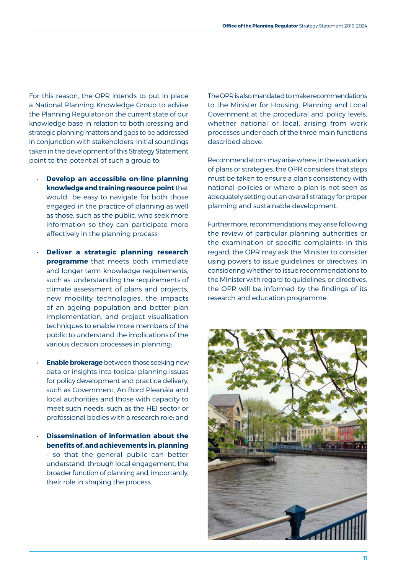For this reason, the OPR intends to put in place a National Planning Knowledge Group to advise the Planning Regulator on the current state of our knowledge base in relation to both pressing and strategic planning matters and gaps to be addressed in conjunction with stakeholders. Initial soundings taken in the development of this Strategy Statement point to the potential of such a group to:

- **Develop an accessible on-line planning knowledge and training resource point** that would be easy to navigate for both those engaged in the practice of planning as well as those, such as the public, who seek more information so they can participate more effectively in the planning process;
- **Deliver a strategic planning research programme** that meets both immediate and longer-term knowledge requirements, such as: understanding the requirements of climate assessment of plans and projects, new mobility technologies, the impacts of an ageing population and better plan implementation, and project visualisation techniques to enable more members of the public to understand the implications of the various decision processes in planning:
- **Enable brokerage** between those seeking new data or insights into topical planning issues for policy development and practice delivery, such as Government, An Bord Pleanála and local authorities and those with capacity to meet such needs, such as the HEI sector or professional bodies with a research role; and
- **Dissemination of information about the benefits of, and achievements in, planning**  – so that the general public can better understand, through local engagement, the broader function of planning and, importantly, their role in shaping the process.

The OPR is also mandated to make recommendations to the Minister for Housing, Planning and Local Government at the procedural and policy levels, whether national or local, arising from work processes under each of the three main functions described above.

Recommendations may arise where, in the evaluation of plans or strategies, the OPR considers that steps must be taken to ensure a plan's consistency with national policies or where a plan is not seen as adequately setting out an overall strategy for proper planning and sustainable development.

Furthermore, recommendations may arise following the review of particular planning authorities or the examination of specific complaints; in this regard, the OPR may ask the Minister to consider using powers to issue guidelines, or directives. In considering whether to issue recommendations to the Minister with regard to guidelines, or directives, the OPR will be informed by the findings of its research and education programme.

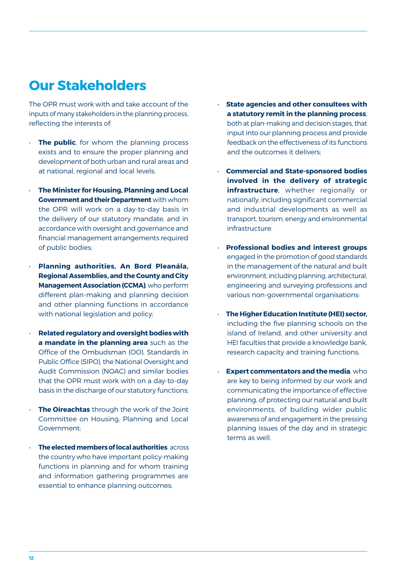#### **Our Stakeholders**

The OPR must work with and take account of the inputs of many stakeholders in the planning process, reflecting the interests of:

- **The public**, for whom the planning process exists and to ensure the proper planning and development of both urban and rural areas and at national, regional and local levels;
- **The Minister for Housing, Planning and Local Government and their Department** with whom the OPR will work on a day-to-day basis in the delivery of our statutory mandate, and in accordance with oversight and governance and financial management arrangements required of public bodies;
- **Planning authorities, An Bord Pleanála, Regional Assemblies, and the County and City Management Association (CCMA)**, who perform different plan-making and planning decision and other planning functions in accordance with national legislation and policy;
- **Related regulatory and oversight bodies with a mandate in the planning area** such as the Office of the Ombudsman (OO), Standards in Public Office (SIPO), the National Oversight and Audit Commission (NOAC) and similar bodies that the OPR must work with on a day-to-day basis in the discharge of our statutory functions;
- **The Oireachtas** through the work of the Joint Committee on Housing, Planning and Local Government;
- **The elected members of local authorities** across the country who have important policy-making functions in planning and for whom training and information gathering programmes are essential to enhance planning outcomes;
- **State agencies and other consultees with a statutory remit in the planning process**, both at plan-making and decision stages, that input into our planning process and provide feedback on the effectiveness of its functions and the outcomes it delivers;
- **Commercial and State-sponsored bodies involved in the delivery of strategic infrastructure**, whether regionally or nationally, including significant commercial and industrial developments as well as transport, tourism, energy and environmental infrastructure:
- **Professional bodies and interest groups** engaged in the promotion of good standards in the management of the natural and built environment, including planning, architectural, engineering and surveying professions and various non-governmental organisations:
- **The Higher Education Institute (HEI) sector,** including the five planning schools on the island of Ireland, and other university and HEI faculties that provide a knowledge bank, research capacity and training functions;
- **Expert commentators and the media**, who are key to being informed by our work and communicating the importance of effective planning, of protecting our natural and built environments, of building wider public awareness of and engagement in the pressing planning issues of the day and in strategic terms as well.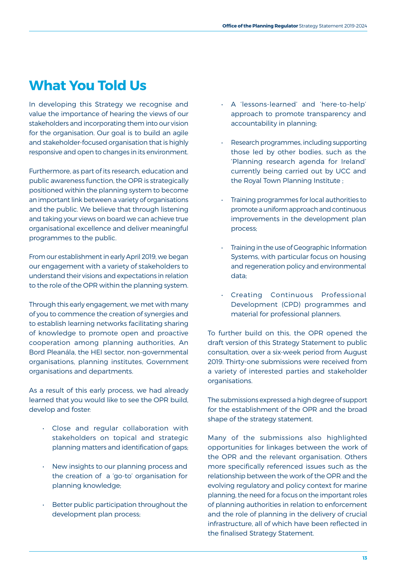#### **What You Told Us**

In developing this Strategy we recognise and value the importance of hearing the views of our stakeholders and incorporating them into our vision for the organisation. Our goal is to build an agile and stakeholder-focused organisation that is highly responsive and open to changes in its environment.

Furthermore, as part of its research, education and public awareness function, the OPR is strategically positioned within the planning system to become an important link between a variety of organisations and the public. We believe that through listening and taking your views on board we can achieve true organisational excellence and deliver meaningful programmes to the public.

From our establishment in early April 2019, we began our engagement with a variety of stakeholders to understand their visions and expectations in relation to the role of the OPR within the planning system.

Through this early engagement, we met with many of you to commence the creation of synergies and to establish learning networks facilitating sharing of knowledge to promote open and proactive cooperation among planning authorities, An Bord Pleanála, the HEI sector, non-governmental organisations, planning institutes, Government organisations and departments.

As a result of this early process, we had already learned that you would like to see the OPR build, develop and foster:

- Close and regular collaboration with stakeholders on topical and strategic planning matters and identification of gaps;
- New insights to our planning process and the creation of a 'go-to' organisation for planning knowledge;
- Better public participation throughout the development plan process;
- A 'lessons-learned' and 'here-to-help' approach to promote transparency and accountability in planning;
- Research programmes, including supporting those led by other bodies, such as the 'Planning research agenda for Ireland' currently being carried out by UCC and the Royal Town Planning Institute ;
- Training programmes for local authorities to promote a uniform approach and continuous improvements in the development plan process;
- Training in the use of Geographic Information Systems, with particular focus on housing and regeneration policy and environmental data;
- Creating Continuous Professional Development (CPD) programmes and material for professional planners.

To further build on this, the OPR opened the draft version of this Strategy Statement to public consultation, over a six-week period from August 2019. Thirty-one submissions were received from a variety of interested parties and stakeholder organisations.

The submissions expressed a high degree of support for the establishment of the OPR and the broad shape of the strategy statement.

Many of the submissions also highlighted opportunities for linkages between the work of the OPR and the relevant organisation. Others more specifically referenced issues such as the relationship between the work of the OPR and the evolving regulatory and policy context for marine planning, the need for a focus on the important roles of planning authorities in relation to enforcement and the role of planning in the delivery of crucial infrastructure, all of which have been reflected in the finalised Strategy Statement.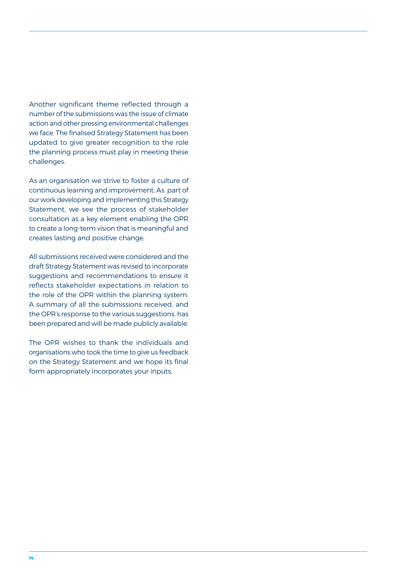Another significant theme reflected through a number of the submissions was the issue of climate action and other pressing environmental challenges we face. The finalised Strategy Statement has been updated to give greater recognition to the role the planning process must play in meeting these challenges.

As an organisation we strive to foster a culture of continuous learning and improvement. As part of our work developing and implementing this Strategy Statement, we see the process of stakeholder consultation as a key element enabling the OPR to create a long-term vision that is meaningful and creates lasting and positive change.

All submissions received were considered and the draft Strategy Statement was revised to incorporate suggestions and recommendations to ensure it reflects stakeholder expectations in relation to the role of the OPR within the planning system. A summary of all the submissions received, and the OPR's response to the various suggestions, has been prepared and will be made publicly available.

The OPR wishes to thank the individuals and organisations who took the time to give us feedback on the Strategy Statement and we hope its final form appropriately incorporates your inputs.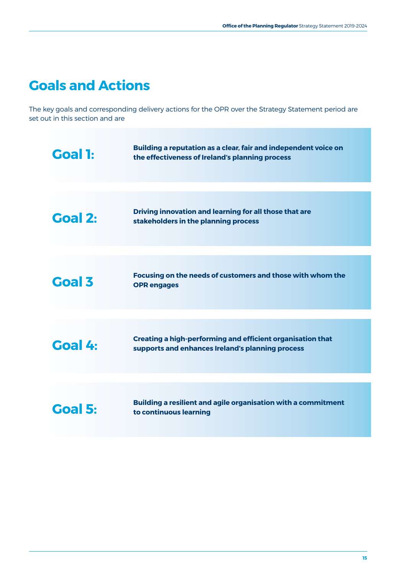### **Goals and Actions**

The key goals and corresponding delivery actions for the OPR over the Strategy Statement period are set out in this section and are

| <b>Goal 1:</b> | Building a reputation as a clear, fair and independent voice on<br>the effectiveness of Ireland's planning process    |
|----------------|-----------------------------------------------------------------------------------------------------------------------|
|                |                                                                                                                       |
| Goal 2:        | Driving innovation and learning for all those that are<br>stakeholders in the planning process                        |
|                |                                                                                                                       |
| <b>Goal 3</b>  | Focusing on the needs of customers and those with whom the<br><b>OPR</b> engages                                      |
|                |                                                                                                                       |
| Goal 4:        | <b>Creating a high-performing and efficient organisation that</b><br>supports and enhances Ireland's planning process |
|                |                                                                                                                       |
| <b>Goal 5:</b> | Building a resilient and agile organisation with a commitment<br>to continuous learning                               |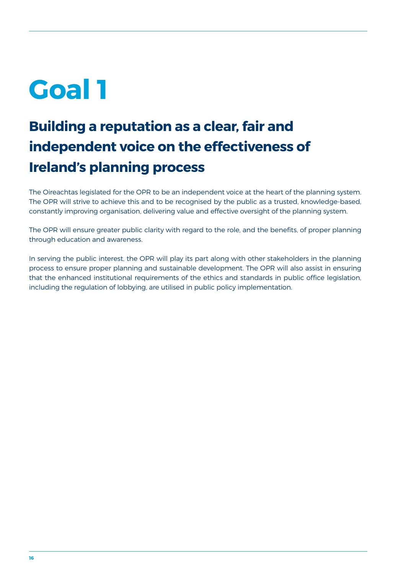# **Building a reputation as a clear, fair and independent voice on the effectiveness of Ireland's planning process**

The Oireachtas legislated for the OPR to be an independent voice at the heart of the planning system. The OPR will strive to achieve this and to be recognised by the public as a trusted, knowledge-based, constantly improving organisation, delivering value and effective oversight of the planning system.

The OPR will ensure greater public clarity with regard to the role, and the benefits, of proper planning through education and awareness.

In serving the public interest, the OPR will play its part along with other stakeholders in the planning process to ensure proper planning and sustainable development. The OPR will also assist in ensuring that the enhanced institutional requirements of the ethics and standards in public office legislation, including the regulation of lobbying, are utilised in public policy implementation.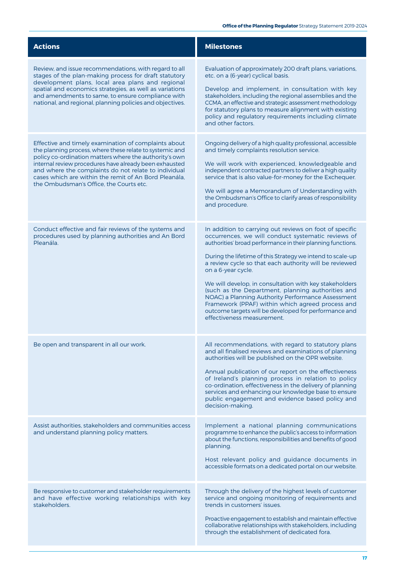| <b>Actions</b>                                                                                                                                                                                                                                                                                                                                                                                   | <b>Milestones</b>                                                                                                                                                                                                                                                                                                                                                                                                                                                                                                                                                                                                                         |
|--------------------------------------------------------------------------------------------------------------------------------------------------------------------------------------------------------------------------------------------------------------------------------------------------------------------------------------------------------------------------------------------------|-------------------------------------------------------------------------------------------------------------------------------------------------------------------------------------------------------------------------------------------------------------------------------------------------------------------------------------------------------------------------------------------------------------------------------------------------------------------------------------------------------------------------------------------------------------------------------------------------------------------------------------------|
| Review, and issue recommendations, with regard to all<br>stages of the plan-making process for draft statutory<br>development plans, local area plans and regional<br>spatial and economics strategies, as well as variations<br>and amendments to same, to ensure compliance with<br>national, and regional, planning policies and objectives.                                                  | Evaluation of approximately 200 draft plans, variations,<br>etc. on a (6-year) cyclical basis.<br>Develop and implement, in consultation with key<br>stakeholders, including the regional assemblies and the<br>CCMA, an effective and strategic assessment methodology<br>for statutory plans to measure alignment with existing<br>policy and regulatory requirements including climate<br>and other factors.                                                                                                                                                                                                                           |
| Effective and timely examination of complaints about<br>the planning process, where these relate to systemic and<br>policy co-ordination matters where the authority's own<br>internal review procedures have already been exhausted<br>and where the complaints do not relate to individual<br>cases which are within the remit of An Bord Pleanála,<br>the Ombudsman's Office, the Courts etc. | Ongoing delivery of a high quality professional, accessible<br>and timely complaints resolution service.<br>We will work with experienced, knowledgeable and<br>independent contracted partners to deliver a high quality<br>service that is also value-for-money for the Exchequer.<br>We will agree a Memorandum of Understanding with<br>the Ombudsman's Office to clarify areas of responsibility<br>and procedure.                                                                                                                                                                                                                   |
| Conduct effective and fair reviews of the systems and<br>procedures used by planning authorities and An Bord<br>Pleanála.                                                                                                                                                                                                                                                                        | In addition to carrying out reviews on foot of specific<br>occurrences, we will conduct systematic reviews of<br>authorities' broad performance in their planning functions.<br>During the lifetime of this Strategy we intend to scale-up<br>a review cycle so that each authority will be reviewed<br>on a 6-year cycle.<br>We will develop, in consultation with key stakeholders<br>(such as the Department, planning authorities and<br>NOAC) a Planning Authority Performance Assessment<br>Framework (PPAF) within which agreed process and<br>outcome targets will be developed for performance and<br>effectiveness measurement. |
| Be open and transparent in all our work.                                                                                                                                                                                                                                                                                                                                                         | All recommendations, with regard to statutory plans<br>and all finalised reviews and examinations of planning<br>authorities will be published on the OPR website.<br>Annual publication of our report on the effectiveness<br>of Ireland's planning process in relation to policy<br>co-ordination, effectiveness in the delivery of planning<br>services and enhancing our knowledge base to ensure<br>public engagement and evidence based policy and<br>decision-making.                                                                                                                                                              |
| Assist authorities, stakeholders and communities access<br>and understand planning policy matters.                                                                                                                                                                                                                                                                                               | Implement a national planning communications<br>programme to enhance the public's access to information<br>about the functions, responsibilities and benefits of good<br>planning.<br>Host relevant policy and guidance documents in<br>accessible formats on a dedicated portal on our website.                                                                                                                                                                                                                                                                                                                                          |
| Be responsive to customer and stakeholder requirements<br>and have effective working relationships with key<br>stakeholders.                                                                                                                                                                                                                                                                     | Through the delivery of the highest levels of customer<br>service and ongoing monitoring of requirements and<br>trends in customers' issues.<br>Proactive engagement to establish and maintain effective<br>collaborative relationships with stakeholders, including<br>through the establishment of dedicated fora.                                                                                                                                                                                                                                                                                                                      |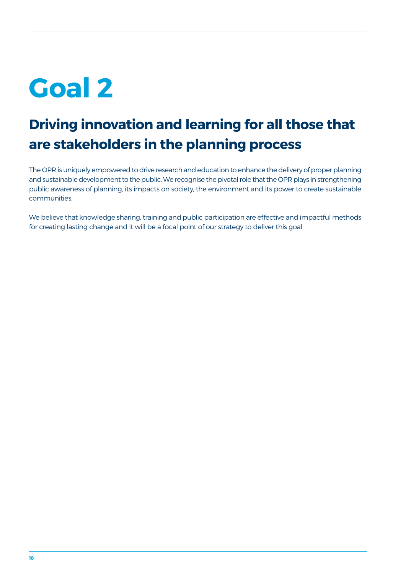## **Driving innovation and learning for all those that are stakeholders in the planning process**

The OPR is uniquely empowered to drive research and education to enhance the delivery of proper planning and sustainable development to the public. We recognise the pivotal role that the OPR plays in strengthening public awareness of planning, its impacts on society, the environment and its power to create sustainable communities.

We believe that knowledge sharing, training and public participation are effective and impactful methods for creating lasting change and it will be a focal point of our strategy to deliver this goal.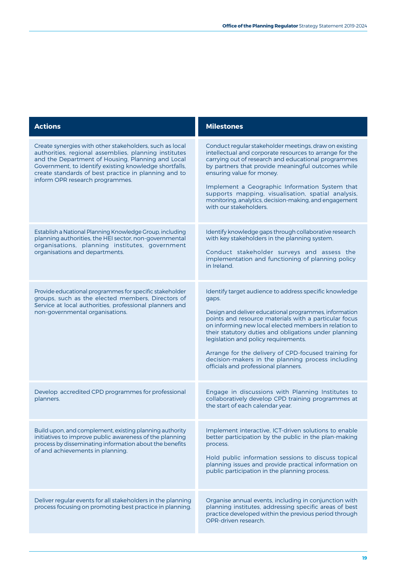| <b>Actions</b>                                                                                                                                                                                                                                                                                                             | <b>Milestones</b>                                                                                                                                                                                                                                                                                                                                                                                                                                                                                 |
|----------------------------------------------------------------------------------------------------------------------------------------------------------------------------------------------------------------------------------------------------------------------------------------------------------------------------|---------------------------------------------------------------------------------------------------------------------------------------------------------------------------------------------------------------------------------------------------------------------------------------------------------------------------------------------------------------------------------------------------------------------------------------------------------------------------------------------------|
| Create synergies with other stakeholders, such as local<br>authorities, regional assemblies, planning institutes<br>and the Department of Housing, Planning and Local<br>Government, to identify existing knowledge shortfalls,<br>create standards of best practice in planning and to<br>inform OPR research programmes. | Conduct regular stakeholder meetings, draw on existing<br>intellectual and corporate resources to arrange for the<br>carrying out of research and educational programmes<br>by partners that provide meaningful outcomes while<br>ensuring value for money.<br>Implement a Geographic Information System that<br>supports mapping, visualisation, spatial analysis,<br>monitoring, analytics, decision-making, and engagement<br>with our stakeholders.                                           |
| Establish a National Planning Knowledge Group, including<br>planning authorities, the HEI sector, non-governmental<br>organisations, planning institutes, government<br>organisations and departments.                                                                                                                     | Identify knowledge gaps through collaborative research<br>with key stakeholders in the planning system.<br>Conduct stakeholder surveys and assess the<br>implementation and functioning of planning policy<br>in Ireland.                                                                                                                                                                                                                                                                         |
| Provide educational programmes for specific stakeholder<br>groups, such as the elected members, Directors of<br>Service at local authorities, professional planners and<br>non-governmental organisations.                                                                                                                 | Identify target audience to address specific knowledge<br>gaps.<br>Design and deliver educational programmes, information<br>points and resource materials with a particular focus<br>on informing new local elected members in relation to<br>their statutory duties and obligations under planning<br>legislation and policy requirements.<br>Arrange for the delivery of CPD-focused training for<br>decision-makers in the planning process including<br>officials and professional planners. |
| Develop accredited CPD programmes for professional<br>planners.                                                                                                                                                                                                                                                            | Engage in discussions with Planning Institutes to<br>collaboratively develop CPD training programmes at<br>the start of each calendar year.                                                                                                                                                                                                                                                                                                                                                       |
| Build upon, and complement, existing planning authority<br>initiatives to improve public awareness of the planning<br>process by disseminating information about the benefits<br>of and achievements in planning.                                                                                                          | Implement interactive, ICT-driven solutions to enable<br>better participation by the public in the plan-making<br>process.<br>Hold public information sessions to discuss topical<br>planning issues and provide practical information on<br>public participation in the planning process.                                                                                                                                                                                                        |
| Deliver regular events for all stakeholders in the planning<br>process focusing on promoting best practice in planning.                                                                                                                                                                                                    | Organise annual events, including in conjunction with<br>planning institutes, addressing specific areas of best<br>practice developed within the previous period through<br>OPR-driven research.                                                                                                                                                                                                                                                                                                  |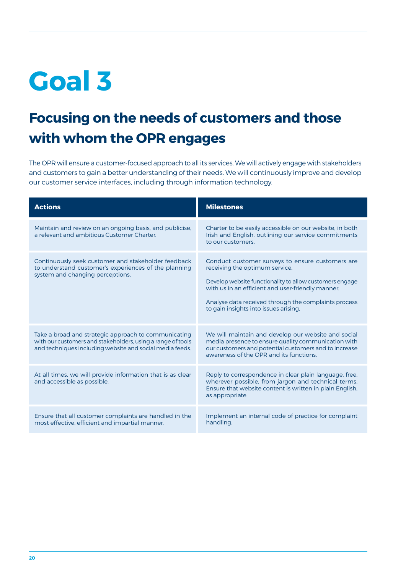### **Focusing on the needs of customers and those with whom the OPR engages**

The OPR will ensure a customer-focused approach to all its services. We will actively engage with stakeholders and customers to gain a better understanding of their needs. We will continuously improve and develop our customer service interfaces, including through information technology.

| <b>Actions</b>                                                                                                                                                                  | <b>Milestones</b>                                                                                                                                                                                                                                                                                   |
|---------------------------------------------------------------------------------------------------------------------------------------------------------------------------------|-----------------------------------------------------------------------------------------------------------------------------------------------------------------------------------------------------------------------------------------------------------------------------------------------------|
| Maintain and review on an ongoing basis, and publicise,<br>a relevant and ambitious Customer Charter.                                                                           | Charter to be easily accessible on our website, in both<br>Irish and English, outlining our service commitments<br>to our customers.                                                                                                                                                                |
| Continuously seek customer and stakeholder feedback<br>to understand customer's experiences of the planning<br>system and changing perceptions.                                 | Conduct customer surveys to ensure customers are<br>receiving the optimum service.<br>Develop website functionality to allow customers engage<br>with us in an efficient and user-friendly manner.<br>Analyse data received through the complaints process<br>to gain insights into issues arising. |
| Take a broad and strategic approach to communicating<br>with our customers and stakeholders, using a range of tools<br>and techniques including website and social media feeds. | We will maintain and develop our website and social<br>media presence to ensure quality communication with<br>our customers and potential customers and to increase<br>awareness of the OPR and its functions.                                                                                      |
| At all times, we will provide information that is as clear<br>and accessible as possible.                                                                                       | Reply to correspondence in clear plain language, free,<br>wherever possible, from jargon and technical terms.<br>Ensure that website content is written in plain English,<br>as appropriate.                                                                                                        |
| Ensure that all customer complaints are handled in the<br>most effective, efficient and impartial manner.                                                                       | Implement an internal code of practice for complaint<br>handling.                                                                                                                                                                                                                                   |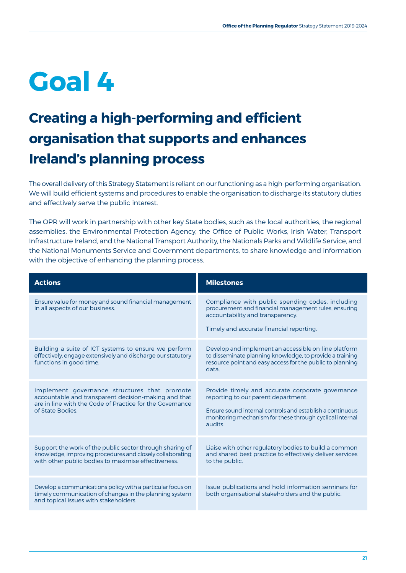## **Creating a high-performing and efficient organisation that supports and enhances Ireland's planning process**

The overall delivery of this Strategy Statement is reliant on our functioning as a high-performing organisation. We will build efficient systems and procedures to enable the organisation to discharge its statutory duties and effectively serve the public interest.

The OPR will work in partnership with other key State bodies, such as the local authorities, the regional assemblies, the Environmental Protection Agency, the Office of Public Works, Irish Water, Transport Infrastructure Ireland, and the National Transport Authority, the Nationals Parks and Wildlife Service, and the National Monuments Service and Government departments, to share knowledge and information with the objective of enhancing the planning process.

| <b>Actions</b>                                                                                                                                                                       | <b>Milestones</b>                                                                                                                                                                                                           |
|--------------------------------------------------------------------------------------------------------------------------------------------------------------------------------------|-----------------------------------------------------------------------------------------------------------------------------------------------------------------------------------------------------------------------------|
| Ensure value for money and sound financial management<br>in all aspects of our business.                                                                                             | Compliance with public spending codes, including<br>procurement and financial management rules, ensuring<br>accountability and transparency.<br>Timely and accurate financial reporting.                                    |
| Building a suite of ICT systems to ensure we perform<br>effectively, engage extensively and discharge our statutory<br>functions in good time.                                       | Develop and implement an accessible on-line platform<br>to disseminate planning knowledge, to provide a training<br>resource point and easy access for the public to planning<br>data.                                      |
| Implement governance structures that promote<br>accountable and transparent decision-making and that<br>are in line with the Code of Practice for the Governance<br>of State Bodies. | Provide timely and accurate corporate governance<br>reporting to our parent department.<br>Ensure sound internal controls and establish a continuous<br>monitoring mechanism for these through cyclical internal<br>audits. |
| Support the work of the public sector through sharing of<br>knowledge, improving procedures and closely collaborating<br>with other public bodies to maximise effectiveness.         | Liaise with other regulatory bodies to build a common<br>and shared best practice to effectively deliver services<br>to the public.                                                                                         |
| Develop a communications policy with a particular focus on<br>timely communication of changes in the planning system<br>and topical issues with stakeholders.                        | Issue publications and hold information seminars for<br>both organisational stakeholders and the public.                                                                                                                    |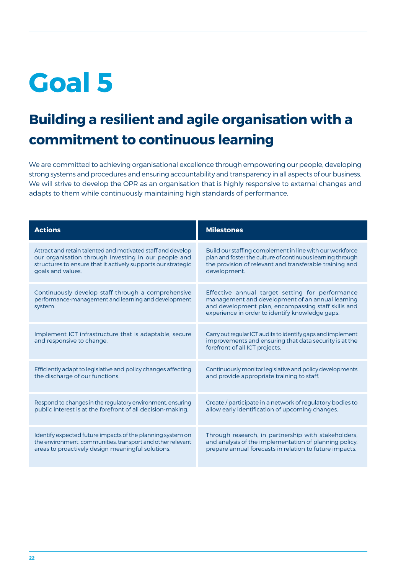## **Building a resilient and agile organisation with a commitment to continuous learning**

We are committed to achieving organisational excellence through empowering our people, developing strong systems and procedures and ensuring accountability and transparency in all aspects of our business. We will strive to develop the OPR as an organisation that is highly responsive to external changes and adapts to them while continuously maintaining high standards of performance.

| <b>Actions</b>                                                                                                       | <b>Milestones</b>                                                                                                                                                                                             |
|----------------------------------------------------------------------------------------------------------------------|---------------------------------------------------------------------------------------------------------------------------------------------------------------------------------------------------------------|
| Attract and retain talented and motivated staff and develop                                                          | Build our staffing complement in line with our workforce                                                                                                                                                      |
| our organisation through investing in our people and                                                                 | plan and foster the culture of continuous learning through                                                                                                                                                    |
| structures to ensure that it actively supports our strategic                                                         | the provision of relevant and transferable training and                                                                                                                                                       |
| goals and values.                                                                                                    | development.                                                                                                                                                                                                  |
| Continuously develop staff through a comprehensive<br>performance-management and learning and development<br>system. | Effective annual target setting for performance<br>management and development of an annual learning<br>and development plan, encompassing staff skills and<br>experience in order to identify knowledge gaps. |
| Implement ICT infrastructure that is adaptable, secure<br>and responsive to change.                                  | Carry out regular ICT audits to identify gaps and implement<br>improvements and ensuring that data security is at the<br>forefront of all ICT projects.                                                       |
| Efficiently adapt to legislative and policy changes affecting                                                        | Continuously monitor legislative and policy developments                                                                                                                                                      |
| the discharge of our functions.                                                                                      | and provide appropriate training to staff.                                                                                                                                                                    |
| Respond to changes in the regulatory environment, ensuring                                                           | Create / participate in a network of regulatory bodies to                                                                                                                                                     |
| public interest is at the forefront of all decision-making.                                                          | allow early identification of upcoming changes.                                                                                                                                                               |
| Identify expected future impacts of the planning system on                                                           | Through research, in partnership with stakeholders,                                                                                                                                                           |
| the environment, communities, transport and other relevant                                                           | and analysis of the implementation of planning policy,                                                                                                                                                        |
| areas to proactively design meaningful solutions.                                                                    | prepare annual forecasts in relation to future impacts.                                                                                                                                                       |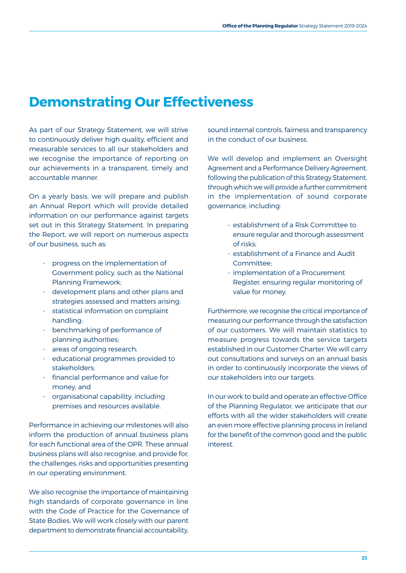#### **Demonstrating Our Effectiveness**

As part of our Strategy Statement, we will strive to continuously deliver high quality, efficient and measurable services to all our stakeholders and we recognise the importance of reporting on our achievements in a transparent, timely and accountable manner.

On a yearly basis, we will prepare and publish an Annual Report which will provide detailed information on our performance against targets set out in this Strategy Statement. In preparing the Report, we will report on numerous aspects of our business, such as:

- progress on the implementation of Government policy, such as the National Planning Framework;
- development plans and other plans and strategies assessed and matters arising;
- statistical information on complaint handling;
- benchmarking of performance of planning authorities;
- areas of ongoing research;
- educational programmes provided to stakeholders;
- financial performance and value for money; and
- organisational capability, including premises and resources available.

**Director of Planning Research Training**  business plans will also recognise, and provide for, **and Public Awareness** the challenges, risks and opportunities presenting Performance in achieving our milestones will also inform the production of annual business plans for each functional area of the OPR. These annual in our operating environment.

We also recognise the importance of maintaining high standards of corporate governance in line with the Code of Practice for the Governance of State Bodies. We will work closely with our parent department to demonstrate financial accountability, sound internal controls, fairness and transparency in the conduct of our business.

We will develop and implement an Oversight Agreement and a Performance Delivery Agreement, following the publication of this Strategy Statement, through which we will provide a further commitment in the implementation of sound corporate governance, including:

- establishment of a Risk Committee to ensure regular and thorough assessment of risks;
- establishment of a Finance and Audit Committee;
- implementation of a Procurement Register, ensuring regular monitoring of value for money.

Furthermore, we recognise the critical importance of measuring our performance through the satisfaction of our customers. We will maintain statistics to measure progress towards the service targets established in our Customer Charter. We will carry out consultations and surveys on an annual basis in order to continuously incorporate the views of our stakeholders into our targets.

**Director of Planning**  an even more effective planning process in Ireland for the benefit of the common good and the public **and Public Awareness** In our work to build and operate an effective Office of the Planning Regulator, we anticipate that our efforts with all the wider stakeholders will create interest.